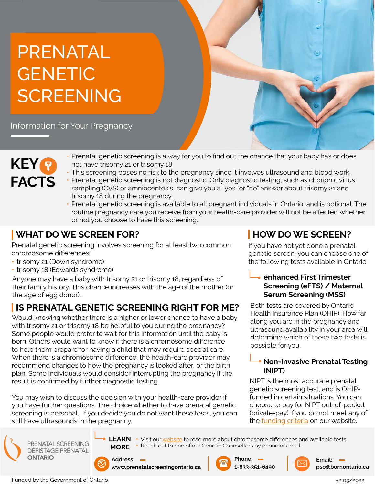## PRENATAL GENETIC **SCREENING**

Information for Your Pregnancy



- Prenatal genetic screening is a way for you to find out the chance that your baby has or does not have trisomy 21 or trisomy 18.
- This screening poses no risk to the pregnancy since it involves ultrasound and blood work.
- Prenatal genetic screening is not diagnostic. Only diagnostic testing, such as chorionic villus sampling (CVS) or amniocentesis, can give you a "yes" or "no" answer about trisomy 21 and trisomy 18 during the pregnancy.
- Prenatal genetic screening is available to all pregnant individuals in Ontario, and is optional. The routine pregnancy care you receive from your health-care provider will not be affected whether or not you choose to have this screening.

## **WHAT DO WE SCREEN FOR?**

Prenatal genetic screening involves screening for at least two common chromosome differences:

- trisomy 21 (Down syndrome)
- trisomy 18 (Edwards syndrome)

Anyone may have a baby with trisomy 21 or trisomy 18, regardless of their family history. This chance increases with the age of the mother (or the age of egg donor).

## **IS PRENATAL GENETIC SCREENING RIGHT FOR ME?**

Would knowing whether there is a higher or lower chance to have a baby with trisomy 21 or trisomy 18 be helpful to you during the pregnancy? Some people would prefer to wait for this information until the baby is born. Others would want to know if there is a chromosome difference to help them prepare for having a child that may require special care. When there is a chromosome difference, the health-care provider may recommend changes to how the pregnancy is looked after, or the birth plan. Some individuals would consider interrupting the pregnancy if the result is confirmed by further diagnostic testing.

You may wish to discuss the decision with your health-care provider if you have further questions. The choice whether to have prenatal genetic screening is personal. If you decide you do not want these tests, you can still have ultrasounds in the pregnancy.



PRENATAL SCREENING **DÉPISTAGE PRÉNATAL ONTARIO** 



**LEARN**  • • Reach out to one of our Genetic Counsellors by phone or email.



**www.prenatalscreeningontario.ca**





**HOW DO WE SCREEN?** If you have not yet done a prenatal genetic screen, you can choose one of the following tests available in Ontario:

**enhanced First Trimester** 

**Serum Screening (MSS)**  Both tests are covered by Ontario Health Insurance Plan (OHIP). How far along you are in the pregnancy and ultrasound availability in your area will determine which of these two tests is

possible for you.

**(NIPT)** 

**Screening (eFTS) / Maternal** 

**Non-Invasive Prenatal Testing** 

NIPT is the most accurate prenatal genetic screening test, and is OHIPfunded in certain situations. You can choose to pay for NIPT out-of-pocket (private-pay) if you do not meet any of the [funding criteria](https://prenatalscreeningontario.ca/en/pso/resources/Documents/Prenatal_Screening_Brochure-Sept2020-Final.pdf) on our website.